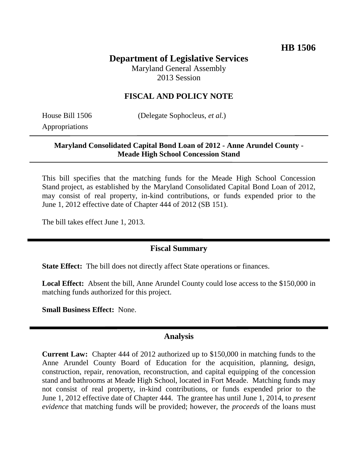# **Department of Legislative Services**

Maryland General Assembly 2013 Session

### **FISCAL AND POLICY NOTE**

Appropriations

House Bill 1506 (Delegate Sophocleus, *et al.*)

### **Maryland Consolidated Capital Bond Loan of 2012 - Anne Arundel County - Meade High School Concession Stand**

This bill specifies that the matching funds for the Meade High School Concession Stand project, as established by the Maryland Consolidated Capital Bond Loan of 2012, may consist of real property, in-kind contributions, or funds expended prior to the June 1, 2012 effective date of Chapter 444 of 2012 (SB 151).

The bill takes effect June 1, 2013.

## **Fiscal Summary**

**State Effect:** The bill does not directly affect State operations or finances.

**Local Effect:** Absent the bill, Anne Arundel County could lose access to the \$150,000 in matching funds authorized for this project.

**Small Business Effect:** None.

#### **Analysis**

**Current Law:** Chapter 444 of 2012 authorized up to \$150,000 in matching funds to the Anne Arundel County Board of Education for the acquisition, planning, design, construction, repair, renovation, reconstruction, and capital equipping of the concession stand and bathrooms at Meade High School, located in Fort Meade. Matching funds may not consist of real property, in-kind contributions, or funds expended prior to the June 1, 2012 effective date of Chapter 444. The grantee has until June 1, 2014, to *present evidence* that matching funds will be provided; however, the *proceeds* of the loans must